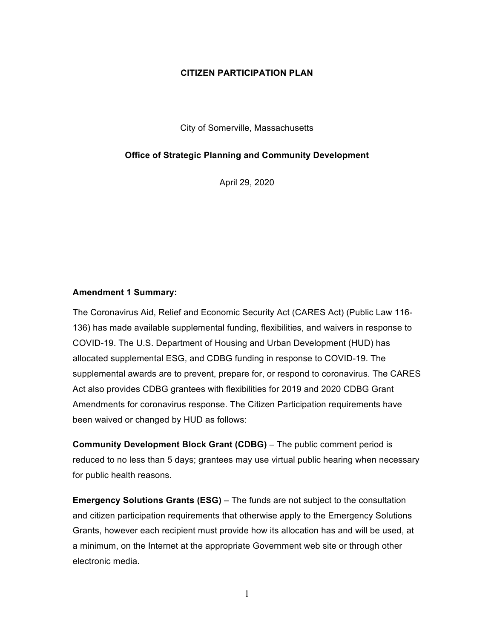#### **CITIZEN PARTICIPATION PLAN**

City of Somerville, Massachusetts

#### **Office of Strategic Planning and Community Development**

April 29, 2020

#### **Amendment 1 Summary:**

The Coronavirus Aid, Relief and Economic Security Act (CARES Act) (Public Law 116- 136) has made available supplemental funding, flexibilities, and waivers in response to COVID-19. The U.S. Department of Housing and Urban Development (HUD) has allocated supplemental ESG, and CDBG funding in response to COVID-19. The supplemental awards are to prevent, prepare for, or respond to coronavirus. The CARES Act also provides CDBG grantees with flexibilities for 2019 and 2020 CDBG Grant Amendments for coronavirus response. The Citizen Participation requirements have been waived or changed by HUD as follows:

**Community Development Block Grant (CDBG)** – The public comment period is reduced to no less than 5 days; grantees may use virtual public hearing when necessary for public health reasons.

**Emergency Solutions Grants (ESG)** – The funds are not subject to the consultation and citizen participation requirements that otherwise apply to the Emergency Solutions Grants, however each recipient must provide how its allocation has and will be used, at a minimum, on the Internet at the appropriate Government web site or through other electronic media.

1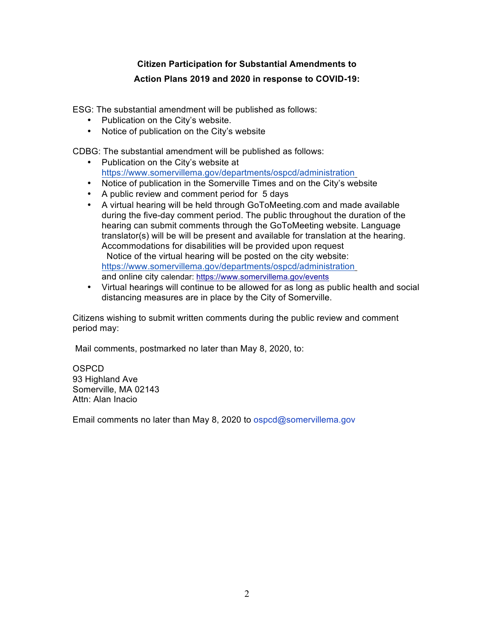# **Citizen Participation for Substantial Amendments to Action Plans 2019 and 2020 in response to COVID-19:**

ESG: The substantial amendment will be published as follows:

- Publication on the City's website.
- Notice of publication on the City's website

CDBG: The substantial amendment will be published as follows:

- Publication on the City's website at https://www.somervillema.gov/departments/ospcd/administration
- Notice of publication in the Somerville Times and on the City's website
- A public review and comment period for 5 days
- A virtual hearing will be held through GoToMeeting.com and made available during the five-day comment period. The public throughout the duration of the hearing can submit comments through the GoToMeeting website. Language translator(s) will be will be present and available for translation at the hearing. Accommodations for disabilities will be provided upon request Notice of the virtual hearing will be posted on the city website: https://www.somervillema.gov/departments/ospcd/administration and online city calendar: https://www.somervillema.gov/events
- Virtual hearings will continue to be allowed for as long as public health and social distancing measures are in place by the City of Somerville.

Citizens wishing to submit written comments during the public review and comment period may:

Mail comments, postmarked no later than May 8, 2020, to:

**OSPCD** 93 Highland Ave Somerville, MA 02143 Attn: Alan Inacio

Email comments no later than May 8, 2020 to ospcd@somervillema.gov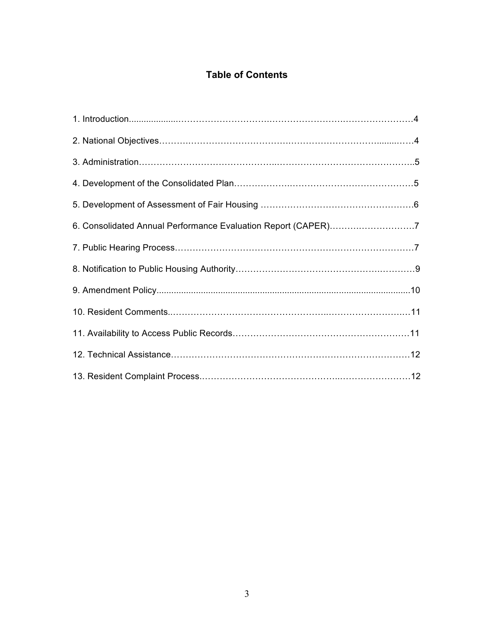# **Table of Contents**

| 6. Consolidated Annual Performance Evaluation Report (CAPER)7 |
|---------------------------------------------------------------|
|                                                               |
|                                                               |
|                                                               |
|                                                               |
|                                                               |
|                                                               |
|                                                               |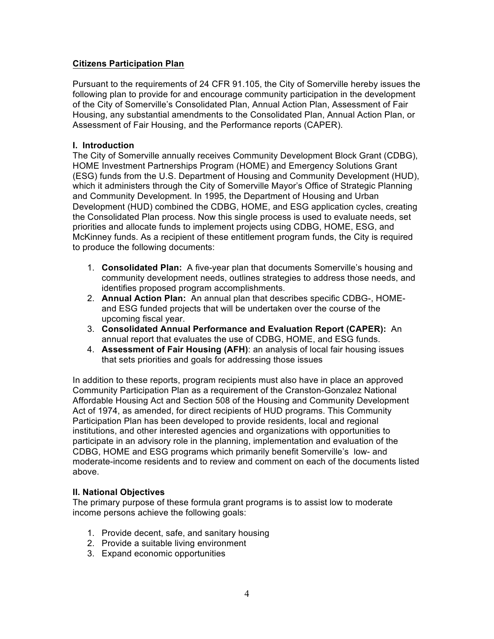## **Citizens Participation Plan**

Pursuant to the requirements of 24 CFR 91.105, the City of Somerville hereby issues the following plan to provide for and encourage community participation in the development of the City of Somerville's Consolidated Plan, Annual Action Plan, Assessment of Fair Housing, any substantial amendments to the Consolidated Plan, Annual Action Plan, or Assessment of Fair Housing, and the Performance reports (CAPER).

#### **I. Introduction**

The City of Somerville annually receives Community Development Block Grant (CDBG), HOME Investment Partnerships Program (HOME) and Emergency Solutions Grant (ESG) funds from the U.S. Department of Housing and Community Development (HUD), which it administers through the City of Somerville Mayor's Office of Strategic Planning and Community Development. In 1995, the Department of Housing and Urban Development (HUD) combined the CDBG, HOME, and ESG application cycles, creating the Consolidated Plan process. Now this single process is used to evaluate needs, set priorities and allocate funds to implement projects using CDBG, HOME, ESG, and McKinney funds. As a recipient of these entitlement program funds, the City is required to produce the following documents:

- 1. **Consolidated Plan:** A five-year plan that documents Somerville's housing and community development needs, outlines strategies to address those needs, and identifies proposed program accomplishments.
- 2. **Annual Action Plan:** An annual plan that describes specific CDBG-, HOMEand ESG funded projects that will be undertaken over the course of the upcoming fiscal year.
- 3. **Consolidated Annual Performance and Evaluation Report (CAPER):** An annual report that evaluates the use of CDBG, HOME, and ESG funds.
- 4. **Assessment of Fair Housing (AFH)**: an analysis of local fair housing issues that sets priorities and goals for addressing those issues

In addition to these reports, program recipients must also have in place an approved Community Participation Plan as a requirement of the Cranston-Gonzalez National Affordable Housing Act and Section 508 of the Housing and Community Development Act of 1974, as amended, for direct recipients of HUD programs. This Community Participation Plan has been developed to provide residents, local and regional institutions, and other interested agencies and organizations with opportunities to participate in an advisory role in the planning, implementation and evaluation of the CDBG, HOME and ESG programs which primarily benefit Somerville's low- and moderate-income residents and to review and comment on each of the documents listed above.

#### **II. National Objectives**

The primary purpose of these formula grant programs is to assist low to moderate income persons achieve the following goals:

- 1. Provide decent, safe, and sanitary housing
- 2. Provide a suitable living environment
- 3. Expand economic opportunities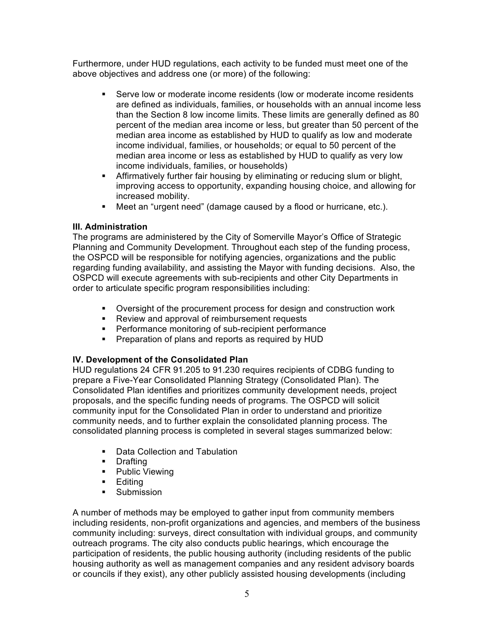Furthermore, under HUD regulations, each activity to be funded must meet one of the above objectives and address one (or more) of the following:

- § Serve low or moderate income residents (low or moderate income residents are defined as individuals, families, or households with an annual income less than the Section 8 low income limits. These limits are generally defined as 80 percent of the median area income or less, but greater than 50 percent of the median area income as established by HUD to qualify as low and moderate income individual, families, or households; or equal to 50 percent of the median area income or less as established by HUD to qualify as very low income individuals, families, or households)
- **Affirmatively further fair housing by eliminating or reducing slum or blight,** improving access to opportunity, expanding housing choice, and allowing for increased mobility.
- Meet an "urgent need" (damage caused by a flood or hurricane, etc.).

## **III. Administration**

The programs are administered by the City of Somerville Mayor's Office of Strategic Planning and Community Development. Throughout each step of the funding process, the OSPCD will be responsible for notifying agencies, organizations and the public regarding funding availability, and assisting the Mayor with funding decisions. Also, the OSPCD will execute agreements with sub-recipients and other City Departments in order to articulate specific program responsibilities including:

- § Oversight of the procurement process for design and construction work
- Review and approval of reimbursement requests
- Performance monitoring of sub-recipient performance
- Preparation of plans and reports as required by HUD

## **IV. Development of the Consolidated Plan**

HUD regulations 24 CFR 91.205 to 91.230 requires recipients of CDBG funding to prepare a Five-Year Consolidated Planning Strategy (Consolidated Plan). The Consolidated Plan identifies and prioritizes community development needs, project proposals, and the specific funding needs of programs. The OSPCD will solicit community input for the Consolidated Plan in order to understand and prioritize community needs, and to further explain the consolidated planning process. The consolidated planning process is completed in several stages summarized below:

- Data Collection and Tabulation
- § Drafting
- Public Viewing
- § Editing
- Submission

A number of methods may be employed to gather input from community members including residents, non-profit organizations and agencies, and members of the business community including: surveys, direct consultation with individual groups, and community outreach programs. The city also conducts public hearings, which encourage the participation of residents, the public housing authority (including residents of the public housing authority as well as management companies and any resident advisory boards or councils if they exist), any other publicly assisted housing developments (including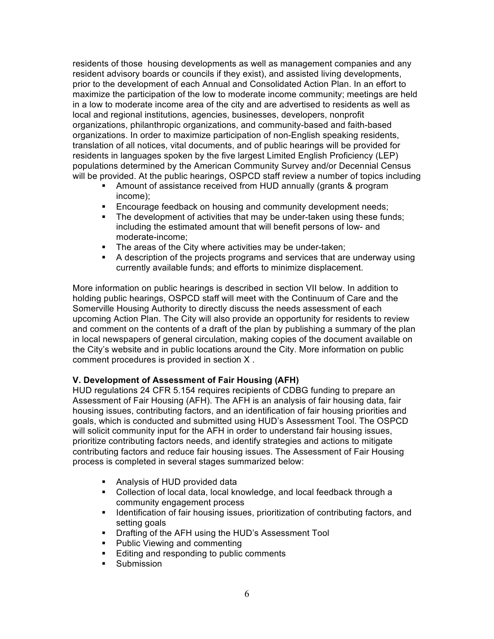residents of those housing developments as well as management companies and any resident advisory boards or councils if they exist), and assisted living developments, prior to the development of each Annual and Consolidated Action Plan. In an effort to maximize the participation of the low to moderate income community; meetings are held in a low to moderate income area of the city and are advertised to residents as well as local and regional institutions, agencies, businesses, developers, nonprofit organizations, philanthropic organizations, and community-based and faith-based organizations. In order to maximize participation of non-English speaking residents, translation of all notices, vital documents, and of public hearings will be provided for residents in languages spoken by the five largest Limited English Proficiency (LEP) populations determined by the American Community Survey and/or Decennial Census will be provided. At the public hearings, OSPCD staff review a number of topics including

- Amount of assistance received from HUD annually (grants & program income);
- **Encourage feedback on housing and community development needs;**
- The development of activities that may be under-taken using these funds; including the estimated amount that will benefit persons of low- and moderate-income;
- The areas of the City where activities may be under-taken;
- § A description of the projects programs and services that are underway using currently available funds; and efforts to minimize displacement.

More information on public hearings is described in section VII below. In addition to holding public hearings, OSPCD staff will meet with the Continuum of Care and the Somerville Housing Authority to directly discuss the needs assessment of each upcoming Action Plan. The City will also provide an opportunity for residents to review and comment on the contents of a draft of the plan by publishing a summary of the plan in local newspapers of general circulation, making copies of the document available on the City's website and in public locations around the City. More information on public comment procedures is provided in section X .

## **V. Development of Assessment of Fair Housing (AFH)**

HUD regulations 24 CFR 5.154 requires recipients of CDBG funding to prepare an Assessment of Fair Housing (AFH). The AFH is an analysis of fair housing data, fair housing issues, contributing factors, and an identification of fair housing priorities and goals, which is conducted and submitted using HUD's Assessment Tool. The OSPCD will solicit community input for the AFH in order to understand fair housing issues, prioritize contributing factors needs, and identify strategies and actions to mitigate contributing factors and reduce fair housing issues. The Assessment of Fair Housing process is completed in several stages summarized below:

- Analysis of HUD provided data
- Collection of local data, local knowledge, and local feedback through a community engagement process
- **•** Identification of fair housing issues, prioritization of contributing factors, and setting goals
- Drafting of the AFH using the HUD's Assessment Tool
- Public Viewing and commenting
- Editing and responding to public comments
- Submission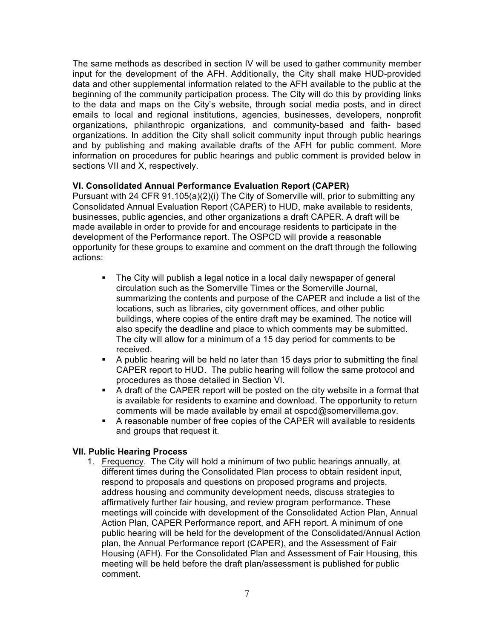The same methods as described in section IV will be used to gather community member input for the development of the AFH. Additionally, the City shall make HUD-provided data and other supplemental information related to the AFH available to the public at the beginning of the community participation process. The City will do this by providing links to the data and maps on the City's website, through social media posts, and in direct emails to local and regional institutions, agencies, businesses, developers, nonprofit organizations, philanthropic organizations, and community-based and faith- based organizations. In addition the City shall solicit community input through public hearings and by publishing and making available drafts of the AFH for public comment. More information on procedures for public hearings and public comment is provided below in sections VII and X, respectively.

#### **VI. Consolidated Annual Performance Evaluation Report (CAPER)**

Pursuant with 24 CFR 91.105(a)(2)(i) The City of Somerville will, prior to submitting any Consolidated Annual Evaluation Report (CAPER) to HUD, make available to residents, businesses, public agencies, and other organizations a draft CAPER. A draft will be made available in order to provide for and encourage residents to participate in the development of the Performance report. The OSPCD will provide a reasonable opportunity for these groups to examine and comment on the draft through the following actions:

- The City will publish a legal notice in a local daily newspaper of general circulation such as the Somerville Times or the Somerville Journal, summarizing the contents and purpose of the CAPER and include a list of the locations, such as libraries, city government offices, and other public buildings, where copies of the entire draft may be examined. The notice will also specify the deadline and place to which comments may be submitted. The city will allow for a minimum of a 15 day period for comments to be received.
- § A public hearing will be held no later than 15 days prior to submitting the final CAPER report to HUD. The public hearing will follow the same protocol and procedures as those detailed in Section VI.
- A draft of the CAPER report will be posted on the city website in a format that is available for residents to examine and download. The opportunity to return comments will be made available by email at ospcd@somervillema.gov.
- § A reasonable number of free copies of the CAPER will available to residents and groups that request it.

## **VII. Public Hearing Process**

1. Frequency. The City will hold a minimum of two public hearings annually, at different times during the Consolidated Plan process to obtain resident input, respond to proposals and questions on proposed programs and projects, address housing and community development needs, discuss strategies to affirmatively further fair housing, and review program performance. These meetings will coincide with development of the Consolidated Action Plan, Annual Action Plan, CAPER Performance report, and AFH report. A minimum of one public hearing will be held for the development of the Consolidated/Annual Action plan, the Annual Performance report (CAPER), and the Assessment of Fair Housing (AFH). For the Consolidated Plan and Assessment of Fair Housing, this meeting will be held before the draft plan/assessment is published for public comment.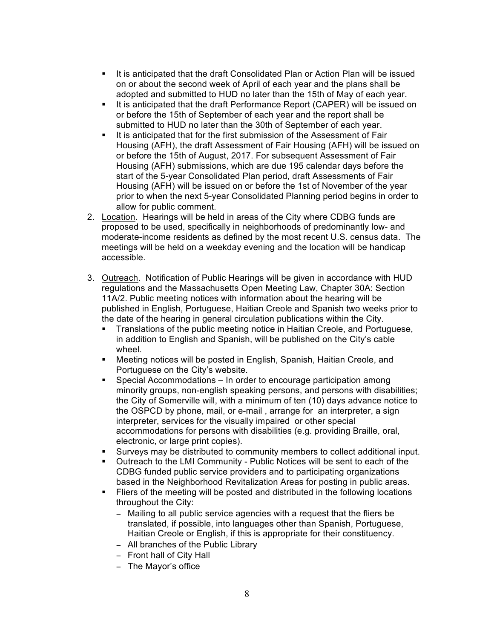- § It is anticipated that the draft Consolidated Plan or Action Plan will be issued on or about the second week of April of each year and the plans shall be adopted and submitted to HUD no later than the 15th of May of each year.
- § It is anticipated that the draft Performance Report (CAPER) will be issued on or before the 15th of September of each year and the report shall be submitted to HUD no later than the 30th of September of each year.
- It is anticipated that for the first submission of the Assessment of Fair Housing (AFH), the draft Assessment of Fair Housing (AFH) will be issued on or before the 15th of August, 2017. For subsequent Assessment of Fair Housing (AFH) submissions, which are due 195 calendar days before the start of the 5-year Consolidated Plan period, draft Assessments of Fair Housing (AFH) will be issued on or before the 1st of November of the year prior to when the next 5-year Consolidated Planning period begins in order to allow for public comment.
- 2. Location. Hearings will be held in areas of the City where CDBG funds are proposed to be used, specifically in neighborhoods of predominantly low- and moderate-income residents as defined by the most recent U.S. census data. The meetings will be held on a weekday evening and the location will be handicap accessible.
- 3. Outreach. Notification of Public Hearings will be given in accordance with HUD regulations and the Massachusetts Open Meeting Law, Chapter 30A: Section 11A/2. Public meeting notices with information about the hearing will be published in English, Portuguese, Haitian Creole and Spanish two weeks prior to the date of the hearing in general circulation publications within the City.
	- **Translations of the public meeting notice in Haitian Creole, and Portuguese,** in addition to English and Spanish, will be published on the City's cable wheel.
	- Meeting notices will be posted in English, Spanish, Haitian Creole, and Portuguese on the City's website.
	- Special Accommodations In order to encourage participation among minority groups, non-english speaking persons, and persons with disabilities; the City of Somerville will, with a minimum of ten (10) days advance notice to the OSPCD by phone, mail, or e-mail , arrange for an interpreter, a sign interpreter, services for the visually impaired or other special accommodations for persons with disabilities (e.g. providing Braille, oral, electronic, or large print copies).
	- § Surveys may be distributed to community members to collect additional input.
	- § Outreach to the LMI Community Public Notices will be sent to each of the CDBG funded public service providers and to participating organizations based in the Neighborhood Revitalization Areas for posting in public areas.
	- Fliers of the meeting will be posted and distributed in the following locations throughout the City:
		- − Mailing to all public service agencies with a request that the fliers be translated, if possible, into languages other than Spanish, Portuguese, Haitian Creole or English, if this is appropriate for their constituency.
		- − All branches of the Public Library
		- − Front hall of City Hall
		- − The Mayor's office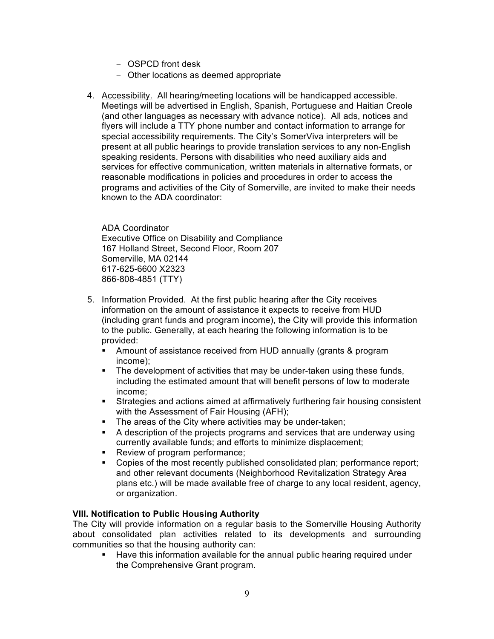- − OSPCD front desk
- − Other locations as deemed appropriate
- 4. Accessibility. All hearing/meeting locations will be handicapped accessible. Meetings will be advertised in English, Spanish, Portuguese and Haitian Creole (and other languages as necessary with advance notice). All ads, notices and flyers will include a TTY phone number and contact information to arrange for special accessibility requirements. The City's SomerViva interpreters will be present at all public hearings to provide translation services to any non-English speaking residents. Persons with disabilities who need auxiliary aids and services for effective communication, written materials in alternative formats, or reasonable modifications in policies and procedures in order to access the programs and activities of the City of Somerville, are invited to make their needs known to the ADA coordinator:

ADA Coordinator Executive Office on Disability and Compliance 167 Holland Street, Second Floor, Room 207 Somerville, MA 02144 617-625-6600 X2323 866-808-4851 (TTY)

- 5. Information Provided. At the first public hearing after the City receives information on the amount of assistance it expects to receive from HUD (including grant funds and program income), the City will provide this information to the public. Generally, at each hearing the following information is to be provided:
	- Amount of assistance received from HUD annually (grants & program income);
	- The development of activities that may be under-taken using these funds, including the estimated amount that will benefit persons of low to moderate income;
	- **•** Strategies and actions aimed at affirmatively furthering fair housing consistent with the Assessment of Fair Housing (AFH);
	- The areas of the City where activities may be under-taken;
	- § A description of the projects programs and services that are underway using currently available funds; and efforts to minimize displacement;
	- Review of program performance;
	- § Copies of the most recently published consolidated plan; performance report; and other relevant documents (Neighborhood Revitalization Strategy Area plans etc.) will be made available free of charge to any local resident, agency, or organization.

#### **VIII. Notification to Public Housing Authority**

The City will provide information on a regular basis to the Somerville Housing Authority about consolidated plan activities related to its developments and surrounding communities so that the housing authority can:

Have this information available for the annual public hearing required under the Comprehensive Grant program.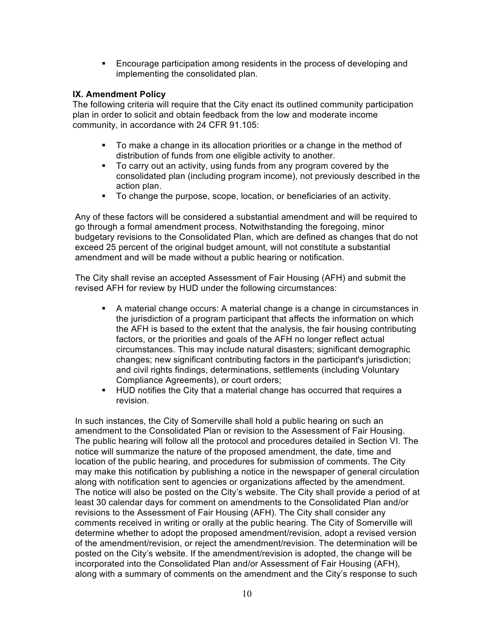**Encourage participation among residents in the process of developing and** implementing the consolidated plan.

## **IX. Amendment Policy**

The following criteria will require that the City enact its outlined community participation plan in order to solicit and obtain feedback from the low and moderate income community, in accordance with 24 CFR 91.105:

- § To make a change in its allocation priorities or a change in the method of distribution of funds from one eligible activity to another.
- § To carry out an activity, using funds from any program covered by the consolidated plan (including program income), not previously described in the action plan.
- § To change the purpose, scope, location, or beneficiaries of an activity.

Any of these factors will be considered a substantial amendment and will be required to go through a formal amendment process. Notwithstanding the foregoing, minor budgetary revisions to the Consolidated Plan, which are defined as changes that do not exceed 25 percent of the original budget amount, will not constitute a substantial amendment and will be made without a public hearing or notification.

The City shall revise an accepted Assessment of Fair Housing (AFH) and submit the revised AFH for review by HUD under the following circumstances:

- § A material change occurs: A material change is a change in circumstances in the jurisdiction of a program participant that affects the information on which the AFH is based to the extent that the analysis, the fair housing contributing factors, or the priorities and goals of the AFH no longer reflect actual circumstances. This may include natural disasters; significant demographic changes; new significant contributing factors in the participant's jurisdiction; and civil rights findings, determinations, settlements (including Voluntary Compliance Agreements), or court orders;
- § HUD notifies the City that a material change has occurred that requires a revision.

In such instances, the City of Somerville shall hold a public hearing on such an amendment to the Consolidated Plan or revision to the Assessment of Fair Housing. The public hearing will follow all the protocol and procedures detailed in Section VI. The notice will summarize the nature of the proposed amendment, the date, time and location of the public hearing, and procedures for submission of comments. The City may make this notification by publishing a notice in the newspaper of general circulation along with notification sent to agencies or organizations affected by the amendment. The notice will also be posted on the City's website. The City shall provide a period of at least 30 calendar days for comment on amendments to the Consolidated Plan and/or revisions to the Assessment of Fair Housing (AFH). The City shall consider any comments received in writing or orally at the public hearing. The City of Somerville will determine whether to adopt the proposed amendment/revision, adopt a revised version of the amendment/revision, or reject the amendment/revision. The determination will be posted on the City's website. If the amendment/revision is adopted, the change will be incorporated into the Consolidated Plan and/or Assessment of Fair Housing (AFH), along with a summary of comments on the amendment and the City's response to such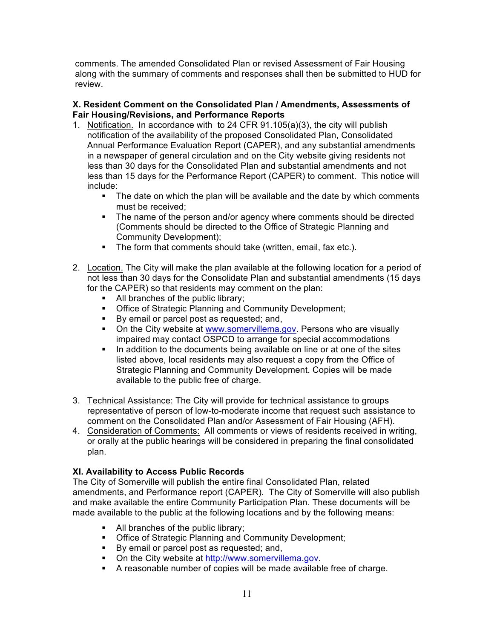comments. The amended Consolidated Plan or revised Assessment of Fair Housing along with the summary of comments and responses shall then be submitted to HUD for review.

## **X. Resident Comment on the Consolidated Plan / Amendments, Assessments of Fair Housing/Revisions, and Performance Reports**

- 1. Notification. In accordance with to 24 CFR 91.105(a)(3), the city will publish notification of the availability of the proposed Consolidated Plan, Consolidated Annual Performance Evaluation Report (CAPER), and any substantial amendments in a newspaper of general circulation and on the City website giving residents not less than 30 days for the Consolidated Plan and substantial amendments and not less than 15 days for the Performance Report (CAPER) to comment. This notice will include:
	- The date on which the plan will be available and the date by which comments must be received;
	- The name of the person and/or agency where comments should be directed (Comments should be directed to the Office of Strategic Planning and Community Development);
	- The form that comments should take (written, email, fax etc.).
- 2. Location. The City will make the plan available at the following location for a period of not less than 30 days for the Consolidate Plan and substantial amendments (15 days for the CAPER) so that residents may comment on the plan:
	- All branches of the public library;
	- **Office of Strategic Planning and Community Development;**
	- By email or parcel post as requested; and,
	- On the City website at www.somervillema.gov. Persons who are visually impaired may contact OSPCD to arrange for special accommodations
	- In addition to the documents being available on line or at one of the sites listed above, local residents may also request a copy from the Office of Strategic Planning and Community Development. Copies will be made available to the public free of charge.
- 3. Technical Assistance: The City will provide for technical assistance to groups representative of person of low-to-moderate income that request such assistance to comment on the Consolidated Plan and/or Assessment of Fair Housing (AFH).
- 4. Consideration of Comments: All comments or views of residents received in writing, or orally at the public hearings will be considered in preparing the final consolidated plan.

# **XI. Availability to Access Public Records**

The City of Somerville will publish the entire final Consolidated Plan, related amendments, and Performance report (CAPER). The City of Somerville will also publish and make available the entire Community Participation Plan. These documents will be made available to the public at the following locations and by the following means:

- All branches of the public library;
- Office of Strategic Planning and Community Development;
- By email or parcel post as requested; and,
- On the City website at http://www.somervillema.gov.
- A reasonable number of copies will be made available free of charge.